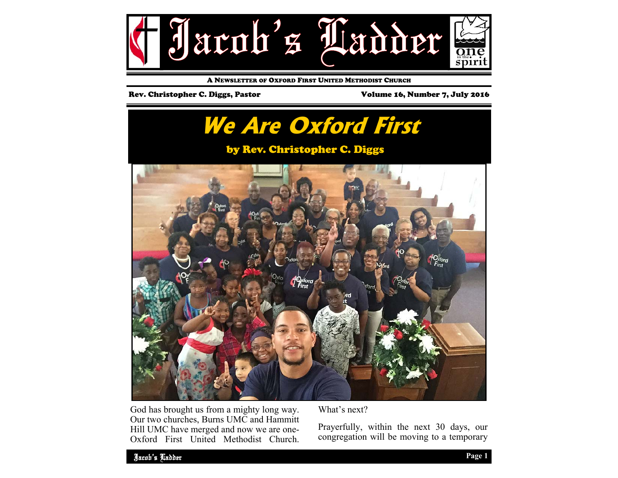

A NEWSLETTER OF OXFORD FIRST UNITED METHODIST CHURCH

### Rev. Christopher C. Diggs, Pastor Volume 16, Number 7, July 2016



God has brought us from a mighty long way. Our two churches, Burns UMC and Hammitt Hill UMC have merged and now we are one-Oxford First United Methodist Church. What's next?

Prayerfully, within the next 30 days, our congregation will be moving to a temporary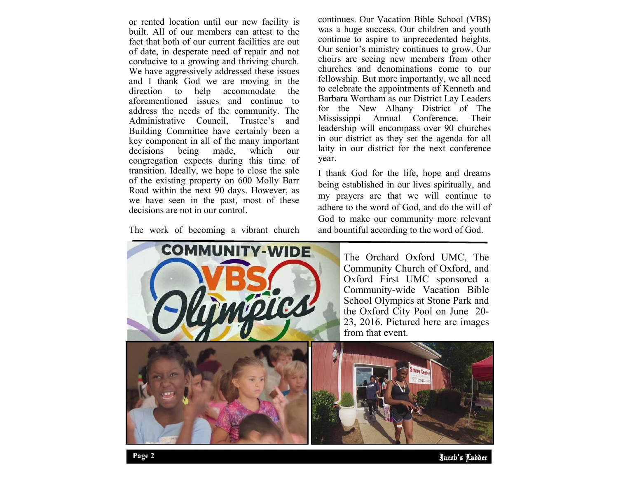or rented location until our new facility is built. All of our members can attest to the fact that both of our current facilities are out of date, in desperate need of repair and not conducive to a growing and thriving church. We have aggressively addressed these issues and I thank God we are moving in the direction to help accommodate the aforementioned issues and continue to address the needs of the community. The Administrative Council, Trustee's and Building Committee have certainly been a key component in all of the many important decisions being made, which our congregation expects during this time of transition. Ideally, we hope to close the sale of the existing property on 600 Molly Barr Road within the next 90 days. However, as we have seen in the past, most of these decisions are not in our control.

The work of becoming a vibrant church

continues. Our Vacation Bible School (VBS) was a huge success. Our children and youth continue to aspire to unprecedented heights. Our senior's ministry continues to grow. Our choirs are seeing new members from other churches and denominations come to our fellowship. But more importantly, we all need to celebrate the appointments of Kenneth and Barbara Wortham as our District Lay Leaders for the New Albany District of The Mississippi Annual Conference. Their leadership will encompass over 90 churches in our district as they set the agenda for all laity in our district for the next conference year.

I thank God for the life, hope and dreams being established in our lives spiritually, and my prayers are that we will continue to adhere to the word of God, and do the will of God to make our community more relevant and bountiful according to the word of God.



The Orchard Oxford UMC, The Community Church of Oxford, and Oxford First UMC sponsored a Community-wide Vacation Bible School Olympics at Stone Park and the Oxford City Pool on June 20- 23, 2016. Pictured here are images from that event.

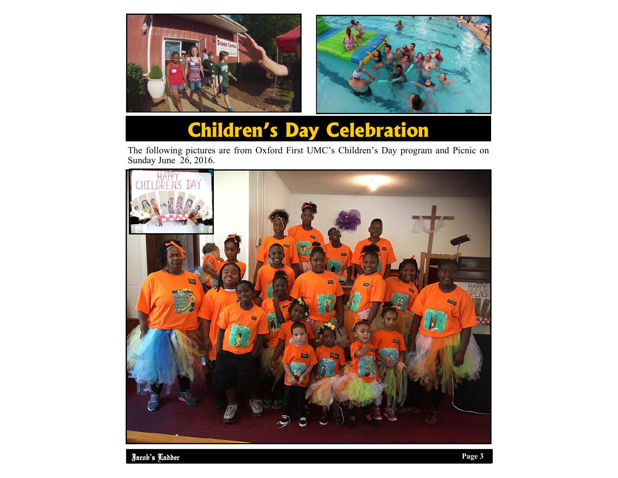



# **Children's Day Celebration**

The following pictures are from Oxford First UMC's Children's Day program and Picnic on Sunday June 26, 2016.